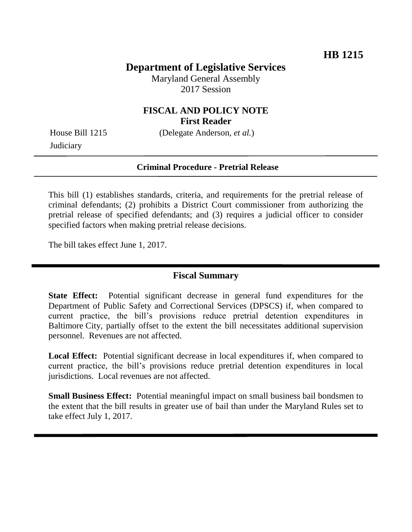## **Department of Legislative Services**

Maryland General Assembly 2017 Session

### **FISCAL AND POLICY NOTE First Reader**

**Judiciary** 

House Bill 1215 (Delegate Anderson, *et al.*)

#### **Criminal Procedure - Pretrial Release**

This bill (1) establishes standards, criteria, and requirements for the pretrial release of criminal defendants; (2) prohibits a District Court commissioner from authorizing the pretrial release of specified defendants; and (3) requires a judicial officer to consider specified factors when making pretrial release decisions.

The bill takes effect June 1, 2017.

#### **Fiscal Summary**

**State Effect:** Potential significant decrease in general fund expenditures for the Department of Public Safety and Correctional Services (DPSCS) if, when compared to current practice, the bill's provisions reduce pretrial detention expenditures in Baltimore City, partially offset to the extent the bill necessitates additional supervision personnel. Revenues are not affected.

Local Effect: Potential significant decrease in local expenditures if, when compared to current practice, the bill's provisions reduce pretrial detention expenditures in local jurisdictions. Local revenues are not affected.

**Small Business Effect:** Potential meaningful impact on small business bail bondsmen to the extent that the bill results in greater use of bail than under the Maryland Rules set to take effect July 1, 2017.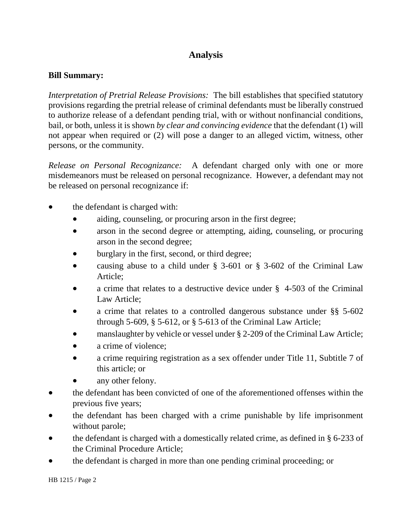# **Analysis**

#### **Bill Summary:**

*Interpretation of Pretrial Release Provisions:* The bill establishes that specified statutory provisions regarding the pretrial release of criminal defendants must be liberally construed to authorize release of a defendant pending trial, with or without nonfinancial conditions, bail, or both, unless it is shown *by clear and convincing evidence* that the defendant (1) will not appear when required or (2) will pose a danger to an alleged victim, witness, other persons, or the community.

*Release on Personal Recognizance:* A defendant charged only with one or more misdemeanors must be released on personal recognizance. However, a defendant may not be released on personal recognizance if:

- the defendant is charged with:
	- aiding, counseling, or procuring arson in the first degree;
	- arson in the second degree or attempting, aiding, counseling, or procuring arson in the second degree;
	- burglary in the first, second, or third degree;
	- causing abuse to a child under § 3-601 or § 3-602 of the Criminal Law Article;
	- a crime that relates to a destructive device under § 4-503 of the Criminal Law Article;
	- a crime that relates to a controlled dangerous substance under §§ 5-602 through 5-609,  $\S$  5-612, or  $\S$  5-613 of the Criminal Law Article;
	- manslaughter by vehicle or vessel under § 2-209 of the Criminal Law Article;
	- a crime of violence:
	- a crime requiring registration as a sex offender under Title 11, Subtitle 7 of this article; or
	- any other felony.
- the defendant has been convicted of one of the aforementioned offenses within the previous five years;
- the defendant has been charged with a crime punishable by life imprisonment without parole;
- the defendant is charged with a domestically related crime, as defined in § 6-233 of the Criminal Procedure Article;
- the defendant is charged in more than one pending criminal proceeding; or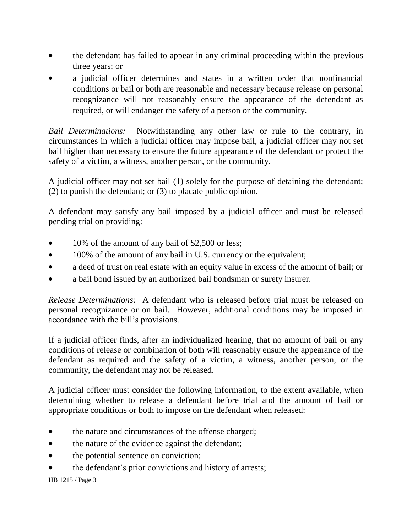- the defendant has failed to appear in any criminal proceeding within the previous three years; or
- a judicial officer determines and states in a written order that nonfinancial conditions or bail or both are reasonable and necessary because release on personal recognizance will not reasonably ensure the appearance of the defendant as required, or will endanger the safety of a person or the community.

*Bail Determinations:* Notwithstanding any other law or rule to the contrary, in circumstances in which a judicial officer may impose bail, a judicial officer may not set bail higher than necessary to ensure the future appearance of the defendant or protect the safety of a victim, a witness, another person, or the community.

A judicial officer may not set bail (1) solely for the purpose of detaining the defendant; (2) to punish the defendant; or (3) to placate public opinion.

A defendant may satisfy any bail imposed by a judicial officer and must be released pending trial on providing:

- 10% of the amount of any bail of \$2,500 or less;
- 100% of the amount of any bail in U.S. currency or the equivalent;
- a deed of trust on real estate with an equity value in excess of the amount of bail; or
- a bail bond issued by an authorized bail bondsman or surety insurer.

*Release Determinations:* A defendant who is released before trial must be released on personal recognizance or on bail. However, additional conditions may be imposed in accordance with the bill's provisions.

If a judicial officer finds, after an individualized hearing, that no amount of bail or any conditions of release or combination of both will reasonably ensure the appearance of the defendant as required and the safety of a victim, a witness, another person, or the community, the defendant may not be released.

A judicial officer must consider the following information, to the extent available, when determining whether to release a defendant before trial and the amount of bail or appropriate conditions or both to impose on the defendant when released:

- the nature and circumstances of the offense charged;
- the nature of the evidence against the defendant;
- the potential sentence on conviction;
- the defendant's prior convictions and history of arrests;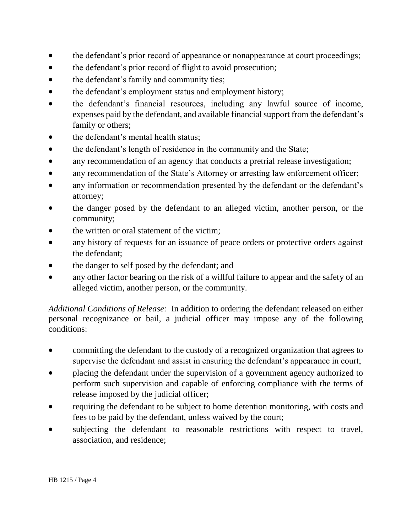- the defendant's prior record of appearance or nonappearance at court proceedings;
- the defendant's prior record of flight to avoid prosecution;
- the defendant's family and community ties;
- the defendant's employment status and employment history;
- the defendant's financial resources, including any lawful source of income, expenses paid by the defendant, and available financial support from the defendant's family or others;
- the defendant's mental health status;
- the defendant's length of residence in the community and the State;
- any recommendation of an agency that conducts a pretrial release investigation;
- any recommendation of the State's Attorney or arresting law enforcement officer;
- any information or recommendation presented by the defendant or the defendant's attorney;
- the danger posed by the defendant to an alleged victim, another person, or the community;
- the written or oral statement of the victim;
- any history of requests for an issuance of peace orders or protective orders against the defendant;
- the danger to self posed by the defendant; and
- any other factor bearing on the risk of a willful failure to appear and the safety of an alleged victim, another person, or the community.

*Additional Conditions of Release:* In addition to ordering the defendant released on either personal recognizance or bail, a judicial officer may impose any of the following conditions:

- committing the defendant to the custody of a recognized organization that agrees to supervise the defendant and assist in ensuring the defendant's appearance in court;
- placing the defendant under the supervision of a government agency authorized to perform such supervision and capable of enforcing compliance with the terms of release imposed by the judicial officer;
- requiring the defendant to be subject to home detention monitoring, with costs and fees to be paid by the defendant, unless waived by the court;
- subjecting the defendant to reasonable restrictions with respect to travel, association, and residence;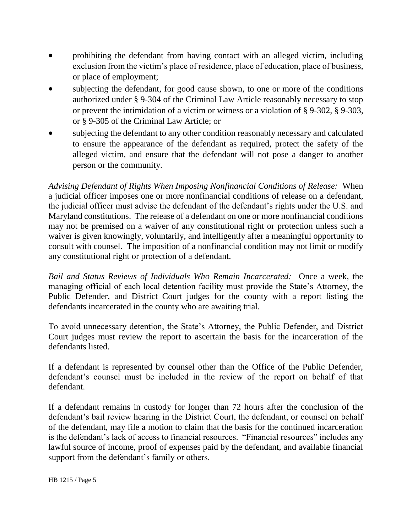- prohibiting the defendant from having contact with an alleged victim, including exclusion from the victim's place of residence, place of education, place of business, or place of employment;
- subjecting the defendant, for good cause shown, to one or more of the conditions authorized under § 9-304 of the Criminal Law Article reasonably necessary to stop or prevent the intimidation of a victim or witness or a violation of § 9-302, § 9-303, or § 9-305 of the Criminal Law Article; or
- subjecting the defendant to any other condition reasonably necessary and calculated to ensure the appearance of the defendant as required, protect the safety of the alleged victim, and ensure that the defendant will not pose a danger to another person or the community.

*Advising Defendant of Rights When Imposing Nonfinancial Conditions of Release:* When a judicial officer imposes one or more nonfinancial conditions of release on a defendant, the judicial officer must advise the defendant of the defendant's rights under the U.S. and Maryland constitutions. The release of a defendant on one or more nonfinancial conditions may not be premised on a waiver of any constitutional right or protection unless such a waiver is given knowingly, voluntarily, and intelligently after a meaningful opportunity to consult with counsel. The imposition of a nonfinancial condition may not limit or modify any constitutional right or protection of a defendant.

*Bail and Status Reviews of Individuals Who Remain Incarcerated:* Once a week, the managing official of each local detention facility must provide the State's Attorney, the Public Defender, and District Court judges for the county with a report listing the defendants incarcerated in the county who are awaiting trial.

To avoid unnecessary detention, the State's Attorney, the Public Defender, and District Court judges must review the report to ascertain the basis for the incarceration of the defendants listed.

If a defendant is represented by counsel other than the Office of the Public Defender, defendant's counsel must be included in the review of the report on behalf of that defendant.

If a defendant remains in custody for longer than 72 hours after the conclusion of the defendant's bail review hearing in the District Court, the defendant, or counsel on behalf of the defendant, may file a motion to claim that the basis for the continued incarceration is the defendant's lack of access to financial resources. "Financial resources" includes any lawful source of income, proof of expenses paid by the defendant, and available financial support from the defendant's family or others.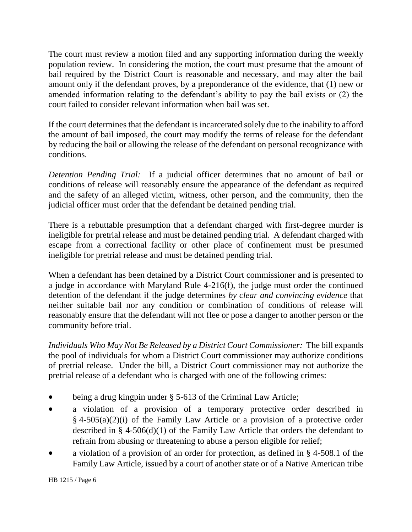The court must review a motion filed and any supporting information during the weekly population review. In considering the motion, the court must presume that the amount of bail required by the District Court is reasonable and necessary, and may alter the bail amount only if the defendant proves, by a preponderance of the evidence, that (1) new or amended information relating to the defendant's ability to pay the bail exists or (2) the court failed to consider relevant information when bail was set.

If the court determines that the defendant is incarcerated solely due to the inability to afford the amount of bail imposed, the court may modify the terms of release for the defendant by reducing the bail or allowing the release of the defendant on personal recognizance with conditions.

*Detention Pending Trial:* If a judicial officer determines that no amount of bail or conditions of release will reasonably ensure the appearance of the defendant as required and the safety of an alleged victim, witness, other person, and the community, then the judicial officer must order that the defendant be detained pending trial.

There is a rebuttable presumption that a defendant charged with first-degree murder is ineligible for pretrial release and must be detained pending trial. A defendant charged with escape from a correctional facility or other place of confinement must be presumed ineligible for pretrial release and must be detained pending trial.

When a defendant has been detained by a District Court commissioner and is presented to a judge in accordance with Maryland Rule 4-216(f), the judge must order the continued detention of the defendant if the judge determines *by clear and convincing evidence* that neither suitable bail nor any condition or combination of conditions of release will reasonably ensure that the defendant will not flee or pose a danger to another person or the community before trial.

*Individuals Who May Not Be Released by a District Court Commissioner:* The bill expands the pool of individuals for whom a District Court commissioner may authorize conditions of pretrial release. Under the bill, a District Court commissioner may not authorize the pretrial release of a defendant who is charged with one of the following crimes:

- being a drug kingpin under § 5-613 of the Criminal Law Article;
- a violation of a provision of a temporary protective order described in § 4-505(a)(2)(i) of the Family Law Article or a provision of a protective order described in § 4-506(d)(1) of the Family Law Article that orders the defendant to refrain from abusing or threatening to abuse a person eligible for relief;
- a violation of a provision of an order for protection, as defined in § 4-508.1 of the Family Law Article, issued by a court of another state or of a Native American tribe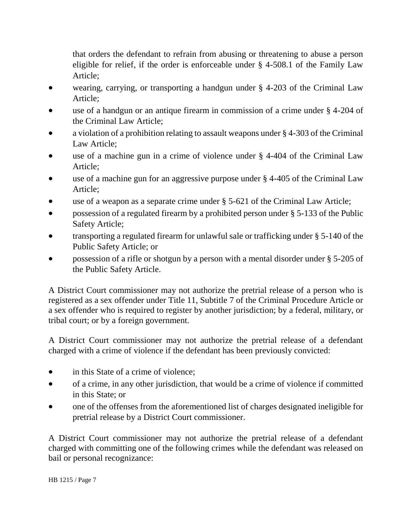that orders the defendant to refrain from abusing or threatening to abuse a person eligible for relief, if the order is enforceable under § 4-508.1 of the Family Law Article;

- wearing, carrying, or transporting a handgun under § 4-203 of the Criminal Law Article;
- use of a handgun or an antique firearm in commission of a crime under § 4-204 of the Criminal Law Article;
- a violation of a prohibition relating to assault weapons under § 4-303 of the Criminal Law Article;
- use of a machine gun in a crime of violence under § 4-404 of the Criminal Law Article;
- use of a machine gun for an aggressive purpose under § 4-405 of the Criminal Law Article;
- use of a weapon as a separate crime under § 5-621 of the Criminal Law Article;
- possession of a regulated firearm by a prohibited person under § 5-133 of the Public Safety Article;
- transporting a regulated firearm for unlawful sale or trafficking under § 5-140 of the Public Safety Article; or
- possession of a rifle or shotgun by a person with a mental disorder under § 5-205 of the Public Safety Article.

A District Court commissioner may not authorize the pretrial release of a person who is registered as a sex offender under Title 11, Subtitle 7 of the Criminal Procedure Article or a sex offender who is required to register by another jurisdiction; by a federal, military, or tribal court; or by a foreign government.

A District Court commissioner may not authorize the pretrial release of a defendant charged with a crime of violence if the defendant has been previously convicted:

- in this State of a crime of violence;
- of a crime, in any other jurisdiction, that would be a crime of violence if committed in this State; or
- one of the offenses from the aforementioned list of charges designated ineligible for pretrial release by a District Court commissioner.

A District Court commissioner may not authorize the pretrial release of a defendant charged with committing one of the following crimes while the defendant was released on bail or personal recognizance: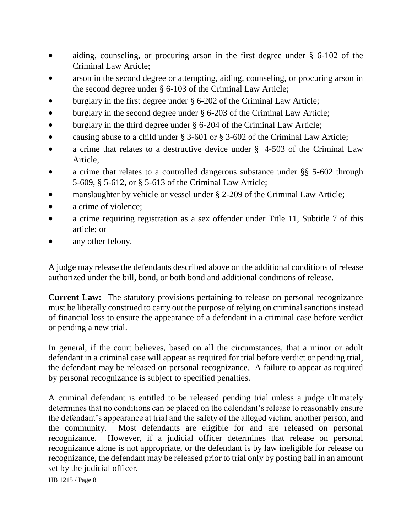- aiding, counseling, or procuring arson in the first degree under § 6-102 of the Criminal Law Article;
- arson in the second degree or attempting, aiding, counseling, or procuring arson in the second degree under § 6-103 of the Criminal Law Article;
- burglary in the first degree under § 6-202 of the Criminal Law Article;
- burglary in the second degree under § 6-203 of the Criminal Law Article;
- burglary in the third degree under § 6-204 of the Criminal Law Article;
- causing abuse to a child under § 3-601 or § 3-602 of the Criminal Law Article;
- a crime that relates to a destructive device under § 4-503 of the Criminal Law Article;
- a crime that relates to a controlled dangerous substance under §§ 5-602 through 5-609, § 5-612, or § 5-613 of the Criminal Law Article;
- manslaughter by vehicle or vessel under § 2-209 of the Criminal Law Article;
- a crime of violence;
- a crime requiring registration as a sex offender under Title 11, Subtitle 7 of this article; or
- any other felony.

A judge may release the defendants described above on the additional conditions of release authorized under the bill, bond, or both bond and additional conditions of release.

**Current Law:** The statutory provisions pertaining to release on personal recognizance must be liberally construed to carry out the purpose of relying on criminal sanctions instead of financial loss to ensure the appearance of a defendant in a criminal case before verdict or pending a new trial.

In general, if the court believes, based on all the circumstances, that a minor or adult defendant in a criminal case will appear as required for trial before verdict or pending trial, the defendant may be released on personal recognizance. A failure to appear as required by personal recognizance is subject to specified penalties.

A criminal defendant is entitled to be released pending trial unless a judge ultimately determines that no conditions can be placed on the defendant's release to reasonably ensure the defendant's appearance at trial and the safety of the alleged victim, another person, and the community. Most defendants are eligible for and are released on personal recognizance. However, if a judicial officer determines that release on personal recognizance alone is not appropriate, or the defendant is by law ineligible for release on recognizance, the defendant may be released prior to trial only by posting bail in an amount set by the judicial officer.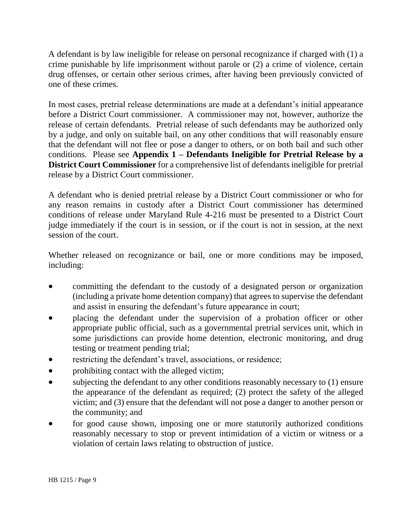A defendant is by law ineligible for release on personal recognizance if charged with (1) a crime punishable by life imprisonment without parole or (2) a crime of violence, certain drug offenses, or certain other serious crimes, after having been previously convicted of one of these crimes.

In most cases, pretrial release determinations are made at a defendant's initial appearance before a District Court commissioner. A commissioner may not, however, authorize the release of certain defendants. Pretrial release of such defendants may be authorized only by a judge, and only on suitable bail, on any other conditions that will reasonably ensure that the defendant will not flee or pose a danger to others, or on both bail and such other conditions. Please see **Appendix 1 – Defendants Ineligible for Pretrial Release by a District Court Commissioner** for a comprehensive list of defendants ineligible for pretrial release by a District Court commissioner.

A defendant who is denied pretrial release by a District Court commissioner or who for any reason remains in custody after a District Court commissioner has determined conditions of release under Maryland Rule 4-216 must be presented to a District Court judge immediately if the court is in session, or if the court is not in session, at the next session of the court.

Whether released on recognizance or bail, one or more conditions may be imposed, including:

- committing the defendant to the custody of a designated person or organization (including a private home detention company) that agrees to supervise the defendant and assist in ensuring the defendant's future appearance in court;
- placing the defendant under the supervision of a probation officer or other appropriate public official, such as a governmental pretrial services unit, which in some jurisdictions can provide home detention, electronic monitoring, and drug testing or treatment pending trial;
- restricting the defendant's travel, associations, or residence;
- prohibiting contact with the alleged victim;
- subjecting the defendant to any other conditions reasonably necessary to (1) ensure the appearance of the defendant as required; (2) protect the safety of the alleged victim; and (3) ensure that the defendant will not pose a danger to another person or the community; and
- for good cause shown, imposing one or more statutorily authorized conditions reasonably necessary to stop or prevent intimidation of a victim or witness or a violation of certain laws relating to obstruction of justice.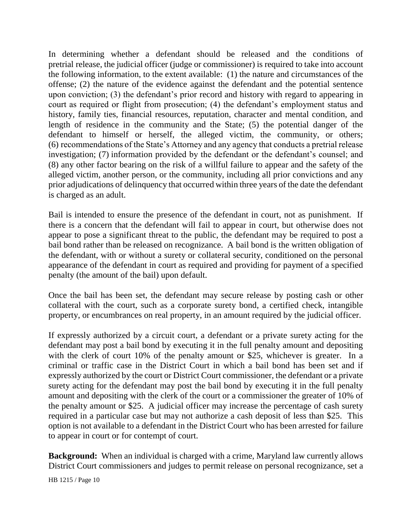In determining whether a defendant should be released and the conditions of pretrial release, the judicial officer (judge or commissioner) is required to take into account the following information, to the extent available: (1) the nature and circumstances of the offense; (2) the nature of the evidence against the defendant and the potential sentence upon conviction; (3) the defendant's prior record and history with regard to appearing in court as required or flight from prosecution; (4) the defendant's employment status and history, family ties, financial resources, reputation, character and mental condition, and length of residence in the community and the State; (5) the potential danger of the defendant to himself or herself, the alleged victim, the community, or others; (6) recommendations of the State's Attorney and any agency that conducts a pretrial release investigation; (7) information provided by the defendant or the defendant's counsel; and (8) any other factor bearing on the risk of a willful failure to appear and the safety of the alleged victim, another person, or the community, including all prior convictions and any prior adjudications of delinquency that occurred within three years of the date the defendant is charged as an adult.

Bail is intended to ensure the presence of the defendant in court, not as punishment. If there is a concern that the defendant will fail to appear in court, but otherwise does not appear to pose a significant threat to the public, the defendant may be required to post a bail bond rather than be released on recognizance. A bail bond is the written obligation of the defendant, with or without a surety or collateral security, conditioned on the personal appearance of the defendant in court as required and providing for payment of a specified penalty (the amount of the bail) upon default.

Once the bail has been set, the defendant may secure release by posting cash or other collateral with the court, such as a corporate surety bond, a certified check, intangible property, or encumbrances on real property, in an amount required by the judicial officer.

If expressly authorized by a circuit court, a defendant or a private surety acting for the defendant may post a bail bond by executing it in the full penalty amount and depositing with the clerk of court 10% of the penalty amount or \$25, whichever is greater. In a criminal or traffic case in the District Court in which a bail bond has been set and if expressly authorized by the court or District Court commissioner, the defendant or a private surety acting for the defendant may post the bail bond by executing it in the full penalty amount and depositing with the clerk of the court or a commissioner the greater of 10% of the penalty amount or \$25. A judicial officer may increase the percentage of cash surety required in a particular case but may not authorize a cash deposit of less than \$25. This option is not available to a defendant in the District Court who has been arrested for failure to appear in court or for contempt of court.

**Background:** When an individual is charged with a crime, Maryland law currently allows District Court commissioners and judges to permit release on personal recognizance, set a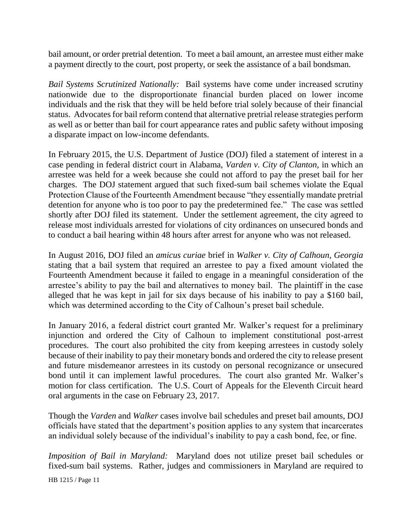bail amount, or order pretrial detention. To meet a bail amount, an arrestee must either make a payment directly to the court, post property, or seek the assistance of a bail bondsman.

*Bail Systems Scrutinized Nationally:* Bail systems have come under increased scrutiny nationwide due to the disproportionate financial burden placed on lower income individuals and the risk that they will be held before trial solely because of their financial status. Advocates for bail reform contend that alternative pretrial release strategies perform as well as or better than bail for court appearance rates and public safety without imposing a disparate impact on low-income defendants.

In February 2015, the U.S. Department of Justice (DOJ) filed a statement of interest in a case pending in federal district court in Alabama, *Varden v. City of Clanton,* in which an arrestee was held for a week because she could not afford to pay the preset bail for her charges. The DOJ statement argued that such fixed-sum bail schemes violate the Equal Protection Clause of the Fourteenth Amendment because "they essentially mandate pretrial detention for anyone who is too poor to pay the predetermined fee." The case was settled shortly after DOJ filed its statement. Under the settlement agreement, the city agreed to release most individuals arrested for violations of city ordinances on unsecured bonds and to conduct a bail hearing within 48 hours after arrest for anyone who was not released.

In August 2016, DOJ filed an *amicus curiae* brief in *Walker v. City of Calhoun, Georgia*  stating that a bail system that required an arrestee to pay a fixed amount violated the Fourteenth Amendment because it failed to engage in a meaningful consideration of the arrestee's ability to pay the bail and alternatives to money bail. The plaintiff in the case alleged that he was kept in jail for six days because of his inability to pay a \$160 bail, which was determined according to the City of Calhoun's preset bail schedule.

In January 2016, a federal district court granted Mr. Walker's request for a preliminary injunction and ordered the City of Calhoun to implement constitutional post-arrest procedures. The court also prohibited the city from keeping arrestees in custody solely because of their inability to pay their monetary bonds and ordered the city to release present and future misdemeanor arrestees in its custody on personal recognizance or unsecured bond until it can implement lawful procedures. The court also granted Mr. Walker's motion for class certification. The U.S. Court of Appeals for the Eleventh Circuit heard oral arguments in the case on February 23, 2017.

Though the *Varden* and *Walker* cases involve bail schedules and preset bail amounts, DOJ officials have stated that the department's position applies to any system that incarcerates an individual solely because of the individual's inability to pay a cash bond, fee, or fine.

*Imposition of Bail in Maryland:* Maryland does not utilize preset bail schedules or fixed-sum bail systems. Rather, judges and commissioners in Maryland are required to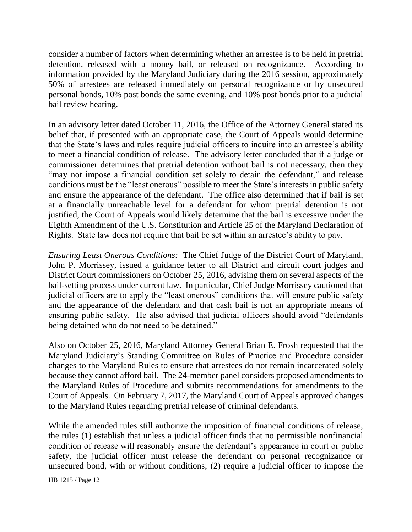consider a number of factors when determining whether an arrestee is to be held in pretrial detention, released with a money bail, or released on recognizance. According to information provided by the Maryland Judiciary during the 2016 session, approximately 50% of arrestees are released immediately on personal recognizance or by unsecured personal bonds, 10% post bonds the same evening, and 10% post bonds prior to a judicial bail review hearing.

In an advisory letter dated October 11, 2016, the Office of the Attorney General stated its belief that, if presented with an appropriate case, the Court of Appeals would determine that the State's laws and rules require judicial officers to inquire into an arrestee's ability to meet a financial condition of release. The advisory letter concluded that if a judge or commissioner determines that pretrial detention without bail is not necessary, then they "may not impose a financial condition set solely to detain the defendant," and release conditions must be the "least onerous" possible to meet the State's interests in public safety and ensure the appearance of the defendant. The office also determined that if bail is set at a financially unreachable level for a defendant for whom pretrial detention is not justified, the Court of Appeals would likely determine that the bail is excessive under the Eighth Amendment of the U.S. Constitution and Article 25 of the Maryland Declaration of Rights. State law does not require that bail be set within an arrestee's ability to pay.

*Ensuring Least Onerous Conditions:* The Chief Judge of the District Court of Maryland, John P. Morrissey, issued a guidance letter to all District and circuit court judges and District Court commissioners on October 25, 2016, advising them on several aspects of the bail-setting process under current law. In particular, Chief Judge Morrissey cautioned that judicial officers are to apply the "least onerous" conditions that will ensure public safety and the appearance of the defendant and that cash bail is not an appropriate means of ensuring public safety. He also advised that judicial officers should avoid "defendants being detained who do not need to be detained."

Also on October 25, 2016, Maryland Attorney General Brian E. Frosh requested that the Maryland Judiciary's Standing Committee on Rules of Practice and Procedure consider changes to the Maryland Rules to ensure that arrestees do not remain incarcerated solely because they cannot afford bail. The 24-member panel considers proposed amendments to the Maryland Rules of Procedure and submits recommendations for amendments to the Court of Appeals. On February 7, 2017, the Maryland Court of Appeals approved changes to the Maryland Rules regarding pretrial release of criminal defendants.

While the amended rules still authorize the imposition of financial conditions of release, the rules (1) establish that unless a judicial officer finds that no permissible nonfinancial condition of release will reasonably ensure the defendant's appearance in court or public safety, the judicial officer must release the defendant on personal recognizance or unsecured bond, with or without conditions; (2) require a judicial officer to impose the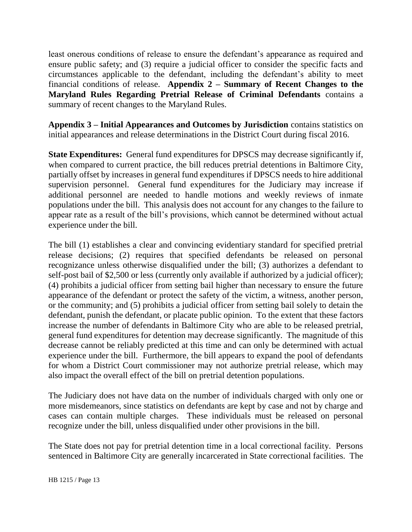least onerous conditions of release to ensure the defendant's appearance as required and ensure public safety; and (3) require a judicial officer to consider the specific facts and circumstances applicable to the defendant, including the defendant's ability to meet financial conditions of release. **Appendix 2 – Summary of Recent Changes to the Maryland Rules Regarding Pretrial Release of Criminal Defendants** contains a summary of recent changes to the Maryland Rules.

**Appendix 3 – Initial Appearances and Outcomes by Jurisdiction** contains statistics on initial appearances and release determinations in the District Court during fiscal 2016.

**State Expenditures:** General fund expenditures for DPSCS may decrease significantly if, when compared to current practice, the bill reduces pretrial detentions in Baltimore City, partially offset by increases in general fund expenditures if DPSCS needs to hire additional supervision personnel. General fund expenditures for the Judiciary may increase if additional personnel are needed to handle motions and weekly reviews of inmate populations under the bill. This analysis does not account for any changes to the failure to appear rate as a result of the bill's provisions, which cannot be determined without actual experience under the bill.

The bill (1) establishes a clear and convincing evidentiary standard for specified pretrial release decisions; (2) requires that specified defendants be released on personal recognizance unless otherwise disqualified under the bill; (3) authorizes a defendant to self-post bail of \$2,500 or less (currently only available if authorized by a judicial officer); (4) prohibits a judicial officer from setting bail higher than necessary to ensure the future appearance of the defendant or protect the safety of the victim, a witness, another person, or the community; and (5) prohibits a judicial officer from setting bail solely to detain the defendant, punish the defendant, or placate public opinion. To the extent that these factors increase the number of defendants in Baltimore City who are able to be released pretrial, general fund expenditures for detention may decrease significantly. The magnitude of this decrease cannot be reliably predicted at this time and can only be determined with actual experience under the bill. Furthermore, the bill appears to expand the pool of defendants for whom a District Court commissioner may not authorize pretrial release, which may also impact the overall effect of the bill on pretrial detention populations.

The Judiciary does not have data on the number of individuals charged with only one or more misdemeanors, since statistics on defendants are kept by case and not by charge and cases can contain multiple charges. These individuals must be released on personal recognize under the bill, unless disqualified under other provisions in the bill.

The State does not pay for pretrial detention time in a local correctional facility. Persons sentenced in Baltimore City are generally incarcerated in State correctional facilities. The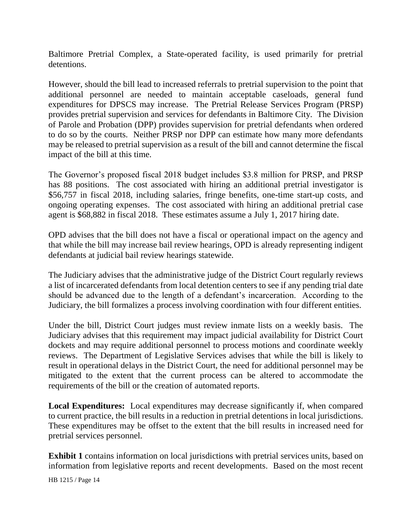Baltimore Pretrial Complex, a State-operated facility, is used primarily for pretrial detentions.

However, should the bill lead to increased referrals to pretrial supervision to the point that additional personnel are needed to maintain acceptable caseloads, general fund expenditures for DPSCS may increase. The Pretrial Release Services Program (PRSP) provides pretrial supervision and services for defendants in Baltimore City. The Division of Parole and Probation (DPP) provides supervision for pretrial defendants when ordered to do so by the courts. Neither PRSP nor DPP can estimate how many more defendants may be released to pretrial supervision as a result of the bill and cannot determine the fiscal impact of the bill at this time.

The Governor's proposed fiscal 2018 budget includes \$3.8 million for PRSP, and PRSP has 88 positions. The cost associated with hiring an additional pretrial investigator is \$56,757 in fiscal 2018, including salaries, fringe benefits, one-time start-up costs, and ongoing operating expenses. The cost associated with hiring an additional pretrial case agent is \$68,882 in fiscal 2018. These estimates assume a July 1, 2017 hiring date.

OPD advises that the bill does not have a fiscal or operational impact on the agency and that while the bill may increase bail review hearings, OPD is already representing indigent defendants at judicial bail review hearings statewide.

The Judiciary advises that the administrative judge of the District Court regularly reviews a list of incarcerated defendants from local detention centers to see if any pending trial date should be advanced due to the length of a defendant's incarceration. According to the Judiciary, the bill formalizes a process involving coordination with four different entities.

Under the bill, District Court judges must review inmate lists on a weekly basis. The Judiciary advises that this requirement may impact judicial availability for District Court dockets and may require additional personnel to process motions and coordinate weekly reviews. The Department of Legislative Services advises that while the bill is likely to result in operational delays in the District Court, the need for additional personnel may be mitigated to the extent that the current process can be altered to accommodate the requirements of the bill or the creation of automated reports.

**Local Expenditures:** Local expenditures may decrease significantly if, when compared to current practice, the bill results in a reduction in pretrial detentions in local jurisdictions. These expenditures may be offset to the extent that the bill results in increased need for pretrial services personnel.

**Exhibit 1** contains information on local jurisdictions with pretrial services units, based on information from legislative reports and recent developments. Based on the most recent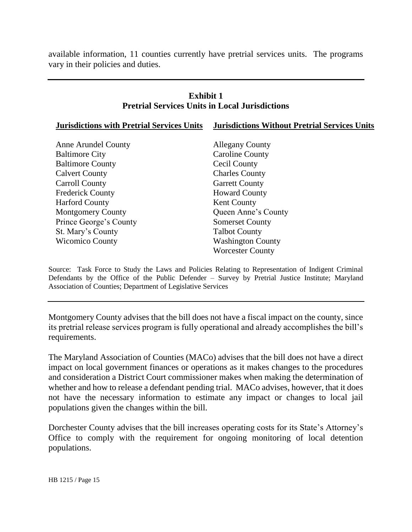available information, 11 counties currently have pretrial services units. The programs vary in their policies and duties.

#### **Exhibit 1 Pretrial Services Units in Local Jurisdictions Jurisdictions with Pretrial Services Units Jurisdictions Without Pretrial Services Units** Anne Arundel County Baltimore City Baltimore County Calvert County Carroll County Frederick County Harford County Montgomery County Prince George's County St. Mary's County Wicomico County Allegany County Caroline County Cecil County Charles County Garrett County Howard County Kent County Queen Anne's County Somerset County Talbot County Washington County Worcester County

Source: Task Force to Study the Laws and Policies Relating to Representation of Indigent Criminal Defendants by the Office of the Public Defender – Survey by Pretrial Justice Institute; Maryland Association of Counties; Department of Legislative Services

Montgomery County advises that the bill does not have a fiscal impact on the county, since its pretrial release services program is fully operational and already accomplishes the bill's requirements.

The Maryland Association of Counties (MACo) advises that the bill does not have a direct impact on local government finances or operations as it makes changes to the procedures and consideration a District Court commissioner makes when making the determination of whether and how to release a defendant pending trial. MACo advises, however, that it does not have the necessary information to estimate any impact or changes to local jail populations given the changes within the bill.

Dorchester County advises that the bill increases operating costs for its State's Attorney's Office to comply with the requirement for ongoing monitoring of local detention populations.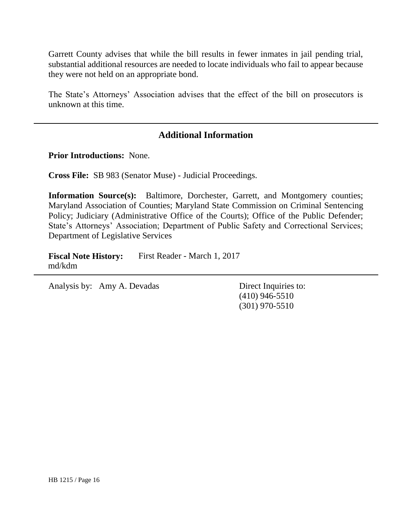Garrett County advises that while the bill results in fewer inmates in jail pending trial, substantial additional resources are needed to locate individuals who fail to appear because they were not held on an appropriate bond.

The State's Attorneys' Association advises that the effect of the bill on prosecutors is unknown at this time.

#### **Additional Information**

**Prior Introductions:** None.

**Cross File:** SB 983 (Senator Muse) - Judicial Proceedings.

**Information Source(s):** Baltimore, Dorchester, Garrett, and Montgomery counties; Maryland Association of Counties; Maryland State Commission on Criminal Sentencing Policy; Judiciary (Administrative Office of the Courts); Office of the Public Defender; State's Attorneys' Association; Department of Public Safety and Correctional Services; Department of Legislative Services

**Fiscal Note History:** First Reader - March 1, 2017 md/kdm

Analysis by: Amy A. Devadas Direct Inquiries to:

(410) 946-5510 (301) 970-5510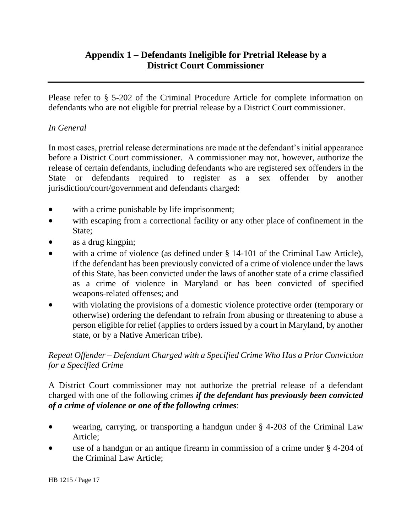# **Appendix 1 – Defendants Ineligible for Pretrial Release by a District Court Commissioner**

Please refer to § 5-202 of the Criminal Procedure Article for complete information on defendants who are not eligible for pretrial release by a District Court commissioner.

#### *In General*

In most cases, pretrial release determinations are made at the defendant's initial appearance before a District Court commissioner. A commissioner may not, however, authorize the release of certain defendants, including defendants who are registered sex offenders in the State or defendants required to register as a sex offender by another jurisdiction/court/government and defendants charged:

- with a crime punishable by life imprisonment;
- with escaping from a correctional facility or any other place of confinement in the State;
- as a drug kingpin;
- with a crime of violence (as defined under § 14-101 of the Criminal Law Article), if the defendant has been previously convicted of a crime of violence under the laws of this State, has been convicted under the laws of another state of a crime classified as a crime of violence in Maryland or has been convicted of specified weapons-related offenses; and
- with violating the provisions of a domestic violence protective order (temporary or otherwise) ordering the defendant to refrain from abusing or threatening to abuse a person eligible for relief (applies to orders issued by a court in Maryland, by another state, or by a Native American tribe).

#### *Repeat Offender – Defendant Charged with a Specified Crime Who Has a Prior Conviction for a Specified Crime*

A District Court commissioner may not authorize the pretrial release of a defendant charged with one of the following crimes *if the defendant has previously been convicted of a crime of violence or one of the following crimes*:

- wearing, carrying, or transporting a handgun under § 4-203 of the Criminal Law Article;
- use of a handgun or an antique firearm in commission of a crime under § 4-204 of the Criminal Law Article;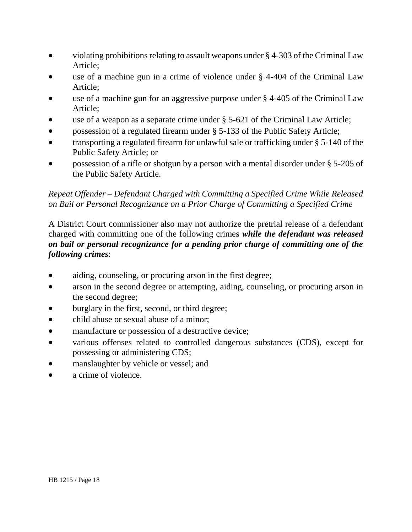- violating prohibitions relating to assault weapons under § 4-303 of the Criminal Law Article;
- use of a machine gun in a crime of violence under § 4-404 of the Criminal Law Article;
- use of a machine gun for an aggressive purpose under § 4-405 of the Criminal Law Article;
- use of a weapon as a separate crime under § 5-621 of the Criminal Law Article;
- possession of a regulated firearm under § 5-133 of the Public Safety Article;
- transporting a regulated firearm for unlawful sale or trafficking under § 5-140 of the Public Safety Article; or
- possession of a rifle or shotgun by a person with a mental disorder under § 5-205 of the Public Safety Article.

#### *Repeat Offender – Defendant Charged with Committing a Specified Crime While Released on Bail or Personal Recognizance on a Prior Charge of Committing a Specified Crime*

A District Court commissioner also may not authorize the pretrial release of a defendant charged with committing one of the following crimes *while the defendant was released on bail or personal recognizance for a pending prior charge of committing one of the following crimes*:

- aiding, counseling, or procuring arson in the first degree;
- arson in the second degree or attempting, aiding, counseling, or procuring arson in the second degree;
- burglary in the first, second, or third degree;
- child abuse or sexual abuse of a minor;
- manufacture or possession of a destructive device;
- various offenses related to controlled dangerous substances (CDS), except for possessing or administering CDS;
- manslaughter by vehicle or vessel; and
- a crime of violence.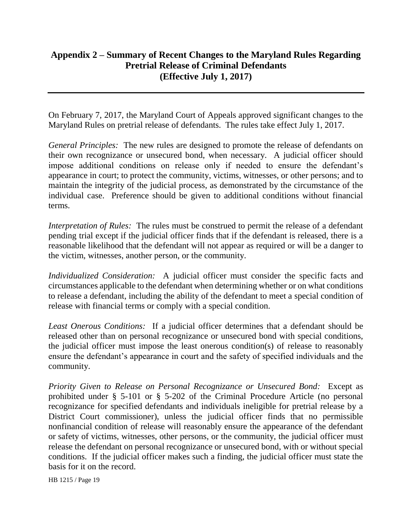# **Appendix 2 – Summary of Recent Changes to the Maryland Rules Regarding Pretrial Release of Criminal Defendants (Effective July 1, 2017)**

On February 7, 2017, the Maryland Court of Appeals approved significant changes to the Maryland Rules on pretrial release of defendants. The rules take effect July 1, 2017.

*General Principles:* The new rules are designed to promote the release of defendants on their own recognizance or unsecured bond, when necessary. A judicial officer should impose additional conditions on release only if needed to ensure the defendant's appearance in court; to protect the community, victims, witnesses, or other persons; and to maintain the integrity of the judicial process, as demonstrated by the circumstance of the individual case. Preference should be given to additional conditions without financial terms.

*Interpretation of Rules:* The rules must be construed to permit the release of a defendant pending trial except if the judicial officer finds that if the defendant is released, there is a reasonable likelihood that the defendant will not appear as required or will be a danger to the victim, witnesses, another person, or the community.

*Individualized Consideration:* A judicial officer must consider the specific facts and circumstances applicable to the defendant when determining whether or on what conditions to release a defendant, including the ability of the defendant to meet a special condition of release with financial terms or comply with a special condition.

*Least Onerous Conditions:* If a judicial officer determines that a defendant should be released other than on personal recognizance or unsecured bond with special conditions, the judicial officer must impose the least onerous condition(s) of release to reasonably ensure the defendant's appearance in court and the safety of specified individuals and the community.

*Priority Given to Release on Personal Recognizance or Unsecured Bond:* Except as prohibited under § 5-101 or § 5-202 of the Criminal Procedure Article (no personal recognizance for specified defendants and individuals ineligible for pretrial release by a District Court commissioner), unless the judicial officer finds that no permissible nonfinancial condition of release will reasonably ensure the appearance of the defendant or safety of victims, witnesses, other persons, or the community, the judicial officer must release the defendant on personal recognizance or unsecured bond, with or without special conditions. If the judicial officer makes such a finding, the judicial officer must state the basis for it on the record.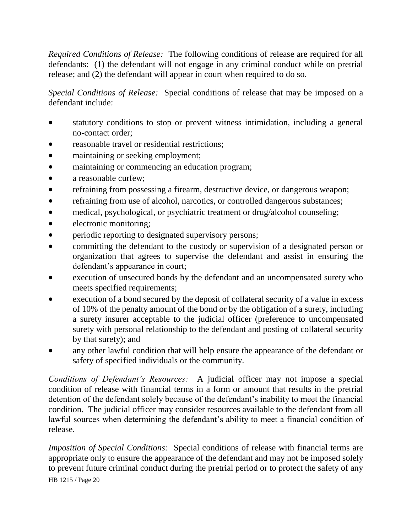*Required Conditions of Release:* The following conditions of release are required for all defendants: (1) the defendant will not engage in any criminal conduct while on pretrial release; and (2) the defendant will appear in court when required to do so.

*Special Conditions of Release:* Special conditions of release that may be imposed on a defendant include:

- statutory conditions to stop or prevent witness intimidation, including a general no-contact order;
- reasonable travel or residential restrictions;
- maintaining or seeking employment;
- maintaining or commencing an education program;
- a reasonable curfew:
- refraining from possessing a firearm, destructive device, or dangerous weapon;
- refraining from use of alcohol, narcotics, or controlled dangerous substances;
- medical, psychological, or psychiatric treatment or drug/alcohol counseling;
- electronic monitoring;
- periodic reporting to designated supervisory persons;
- committing the defendant to the custody or supervision of a designated person or organization that agrees to supervise the defendant and assist in ensuring the defendant's appearance in court;
- execution of unsecured bonds by the defendant and an uncompensated surety who meets specified requirements;
- execution of a bond secured by the deposit of collateral security of a value in excess of 10% of the penalty amount of the bond or by the obligation of a surety, including a surety insurer acceptable to the judicial officer (preference to uncompensated surety with personal relationship to the defendant and posting of collateral security by that surety); and
- any other lawful condition that will help ensure the appearance of the defendant or safety of specified individuals or the community.

*Conditions of Defendant's Resources:* A judicial officer may not impose a special condition of release with financial terms in a form or amount that results in the pretrial detention of the defendant solely because of the defendant's inability to meet the financial condition. The judicial officer may consider resources available to the defendant from all lawful sources when determining the defendant's ability to meet a financial condition of release.

HB 1215 / Page 20 *Imposition of Special Conditions:* Special conditions of release with financial terms are appropriate only to ensure the appearance of the defendant and may not be imposed solely to prevent future criminal conduct during the pretrial period or to protect the safety of any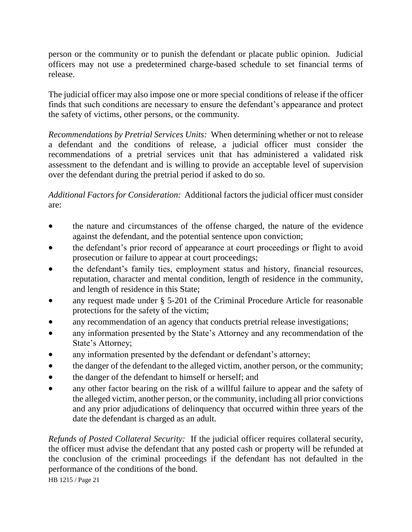person or the community or to punish the defendant or placate public opinion. Judicial officers may not use a predetermined charge-based schedule to set financial terms of release.

The judicial officer may also impose one or more special conditions of release if the officer finds that such conditions are necessary to ensure the defendant's appearance and protect the safety of victims, other persons, or the community.

*Recommendations by Pretrial Services Units:* When determining whether or not to release a defendant and the conditions of release, a judicial officer must consider the recommendations of a pretrial services unit that has administered a validated risk assessment to the defendant and is willing to provide an acceptable level of supervision over the defendant during the pretrial period if asked to do so.

*Additional Factors for Consideration:* Additional factors the judicial officer must consider are:

- the nature and circumstances of the offense charged, the nature of the evidence against the defendant, and the potential sentence upon conviction;
- the defendant's prior record of appearance at court proceedings or flight to avoid prosecution or failure to appear at court proceedings;
- the defendant's family ties, employment status and history, financial resources, reputation, character and mental condition, length of residence in the community, and length of residence in this State;
- any request made under § 5-201 of the Criminal Procedure Article for reasonable protections for the safety of the victim;
- any recommendation of an agency that conducts pretrial release investigations;
- any information presented by the State's Attorney and any recommendation of the State's Attorney;
- any information presented by the defendant or defendant's attorney;
- the danger of the defendant to the alleged victim, another person, or the community;
- the danger of the defendant to himself or herself; and
- any other factor bearing on the risk of a willful failure to appear and the safety of the alleged victim, another person, or the community, including all prior convictions and any prior adjudications of delinquency that occurred within three years of the date the defendant is charged as an adult.

*Refunds of Posted Collateral Security:* If the judicial officer requires collateral security, the officer must advise the defendant that any posted cash or property will be refunded at the conclusion of the criminal proceedings if the defendant has not defaulted in the performance of the conditions of the bond.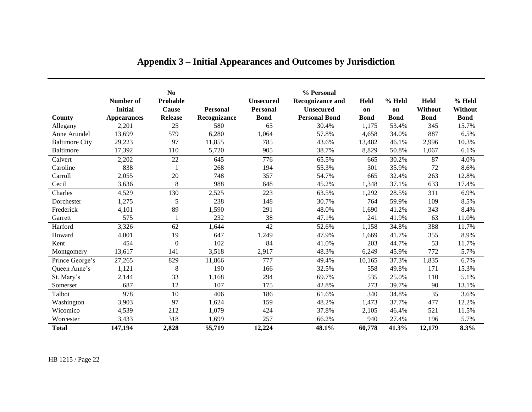|                       | Number of<br><b>Initial</b> | N <sub>0</sub><br>Probable<br><b>Cause</b> | <b>Personal</b> | <b>Unsecured</b><br><b>Personal</b> | % Personal<br><b>Recognizance and</b><br><b>Unsecured</b> | <b>Held</b><br>on | % Held<br>on | <b>Held</b><br>Without | % Held<br><b>Without</b> |
|-----------------------|-----------------------------|--------------------------------------------|-----------------|-------------------------------------|-----------------------------------------------------------|-------------------|--------------|------------------------|--------------------------|
| <b>County</b>         | <b>Appearances</b>          | <b>Release</b>                             | Recognizance    | <b>Bond</b>                         | <b>Personal Bond</b>                                      | <b>Bond</b>       | <b>Bond</b>  | <b>Bond</b>            | <b>Bond</b>              |
| Allegany              | 2,201                       | 25                                         | 580             | 65                                  | 30.4%                                                     | 1,175             | 53.4%        | 345                    | 15.7%                    |
| Anne Arundel          | 13,699                      | 579                                        | 6,280           | 1,064                               | 57.8%                                                     | 4,658             | 34.0%        | 887                    | 6.5%                     |
| <b>Baltimore City</b> | 29,223                      | 97                                         | 11,855          | 785                                 | 43.6%                                                     | 13,482            | 46.1%        | 2,996                  | 10.3%                    |
| Baltimore             | 17,392                      | 110                                        | 5,720           | 905                                 | 38.7%                                                     | 8,829             | 50.8%        | 1,067                  | 6.1%                     |
| Calvert               | 2,202                       | 22                                         | 645             | 776                                 | 65.5%                                                     | 665               | 30.2%        | 87                     | 4.0%                     |
| Caroline              | 838                         |                                            | 268             | 194                                 | 55.3%                                                     | 301               | 35.9%        | 72                     | 8.6%                     |
| Carroll               | 2,055                       | 20                                         | 748             | 357                                 | 54.7%                                                     | 665               | 32.4%        | 263                    | 12.8%                    |
| Cecil                 | 3,636                       | 8                                          | 988             | 648                                 | 45.2%                                                     | 1,348             | 37.1%        | 633                    | 17.4%                    |
| Charles               | 4,529                       | 130                                        | 2,525           | 223                                 | 63.5%                                                     | 1,292             | 28.5%        | 311                    | 6.9%                     |
| Dorchester            | 1,275                       | 5                                          | 238             | 148                                 | 30.7%                                                     | 764               | 59.9%        | 109                    | 8.5%                     |
| Frederick             | 4,101                       | 89                                         | 1,590           | 291                                 | 48.0%                                                     | 1,690             | 41.2%        | 343                    | 8.4%                     |
| Garrett               | 575                         |                                            | 232             | 38                                  | 47.1%                                                     | 241               | 41.9%        | 63                     | 11.0%                    |
| Harford               | 3,326                       | 62                                         | 1,644           | 42                                  | 52.6%                                                     | 1,158             | 34.8%        | 388                    | 11.7%                    |
| Howard                | 4,001                       | 19                                         | 647             | 1,249                               | 47.9%                                                     | 1,669             | 41.7%        | 355                    | 8.9%                     |
| Kent                  | 454                         | $\Omega$                                   | 102             | 84                                  | 41.0%                                                     | 203               | 44.7%        | 53                     | 11.7%                    |
| Montgomery            | 13,617                      | 141                                        | 3,518           | 2,917                               | 48.3%                                                     | 6,249             | 45.9%        | 772                    | 5.7%                     |
| Prince George's       | 27,265                      | 829                                        | 11,866          | 777                                 | 49.4%                                                     | 10,165            | 37.3%        | 1,835                  | 6.7%                     |
| Queen Anne's          | 1,121                       | 8                                          | 190             | 166                                 | 32.5%                                                     | 558               | 49.8%        | 171                    | 15.3%                    |
| St. Mary's            | 2,144                       | 33                                         | 1,168           | 294                                 | 69.7%                                                     | 535               | 25.0%        | 110                    | 5.1%                     |
| Somerset              | 687                         | 12                                         | 107             | 175                                 | 42.8%                                                     | 273               | 39.7%        | 90                     | 13.1%                    |
| Talbot                | 978                         | 10                                         | 406             | 186                                 | 61.6%                                                     | 340               | 34.8%        | 35                     | 3.6%                     |
| Washington            | 3,903                       | 97                                         | 1,624           | 159                                 | 48.2%                                                     | 1,473             | 37.7%        | 477                    | 12.2%                    |
| Wicomico              | 4,539                       | 212                                        | 1,079           | 424                                 | 37.8%                                                     | 2,105             | 46.4%        | 521                    | 11.5%                    |
| Worcester             | 3,433                       | 318                                        | 1,699           | 257                                 | 66.2%                                                     | 940               | 27.4%        | 196                    | 5.7%                     |
| <b>Total</b>          | 147,194                     | 2,828                                      | 55,719          | 12,224                              | 48.1%                                                     | 60,778            | 41.3%        | 12,179                 | 8.3%                     |

# **Appendix 3 – Initial Appearances and Outcomes by Jurisdiction**